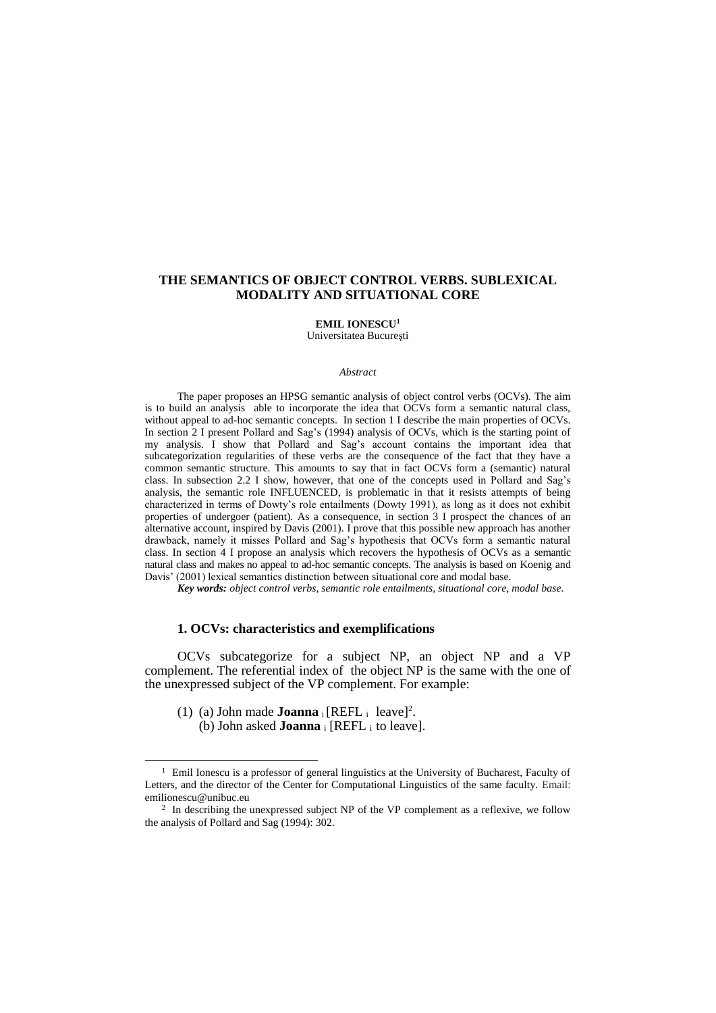# **THE SEMANTICS OF OBJECT CONTROL VERBS. SUBLEXICAL MODALITY AND SITUATIONAL CORE**

# **EMIL IONESCU<sup>1</sup>**

Universitatea Bucureşti

#### *Abstract*

The paper proposes an HPSG semantic analysis of object control verbs (OCVs). The aim is to build an analysis able to incorporate the idea that OCVs form a semantic natural class, without appeal to ad-hoc semantic concepts. In section 1 I describe the main properties of OCVs. In section 2 I present Pollard and Sag's (1994) analysis of OCVs, which is the starting point of my analysis. I show that Pollard and Sag's account contains the important idea that subcategorization regularities of these verbs are the consequence of the fact that they have a common semantic structure. This amounts to say that in fact OCVs form a (semantic) natural class. In subsection 2.2 I show, however, that one of the concepts used in Pollard and Sag's analysis, the semantic role INFLUENCED, is problematic in that it resists attempts of being characterized in terms of Dowty's role entailments (Dowty 1991), as long as it does not exhibit properties of undergoer (patient). As a consequence, in section 3 I prospect the chances of an alternative account, inspired by Davis (2001). I prove that this possible new approach has another drawback, namely it misses Pollard and Sag's hypothesis that OCVs form a semantic natural class. In section 4 I propose an analysis which recovers the hypothesis of OCVs as a semantic natural class and makes no appeal to ad-hoc semantic concepts. The analysis is based on Koenig and Davis' (2001) lexical semantics distinction between situational core and modal base.

*Key words: object control verbs, semantic role entailments, situational core, modal base.*

## **1. OCVs: characteristics and exemplifications**

OCVs subcategorize for a subject NP, an object NP and a VP complement. The referential index of the object NP is the same with the one of the unexpressed subject of the VP complement. For example:

(1) (a) John made **Joanna** i  $[REFL_i \text{ leave}]^2$ .

 $\overline{a}$ 

(b) John asked **Joanna** <sup>i</sup> [REFL i to leave].

<sup>&</sup>lt;sup>1</sup> Emil Ionescu is a professor of general linguistics at the University of Bucharest, Faculty of Letters, and the director of the Center for Computational Linguistics of the same faculty. Email: emilionescu@unibuc.eu

<sup>&</sup>lt;sup>2</sup> In describing the unexpressed subject NP of the VP complement as a reflexive, we follow the analysis of Pollard and Sag (1994): 302.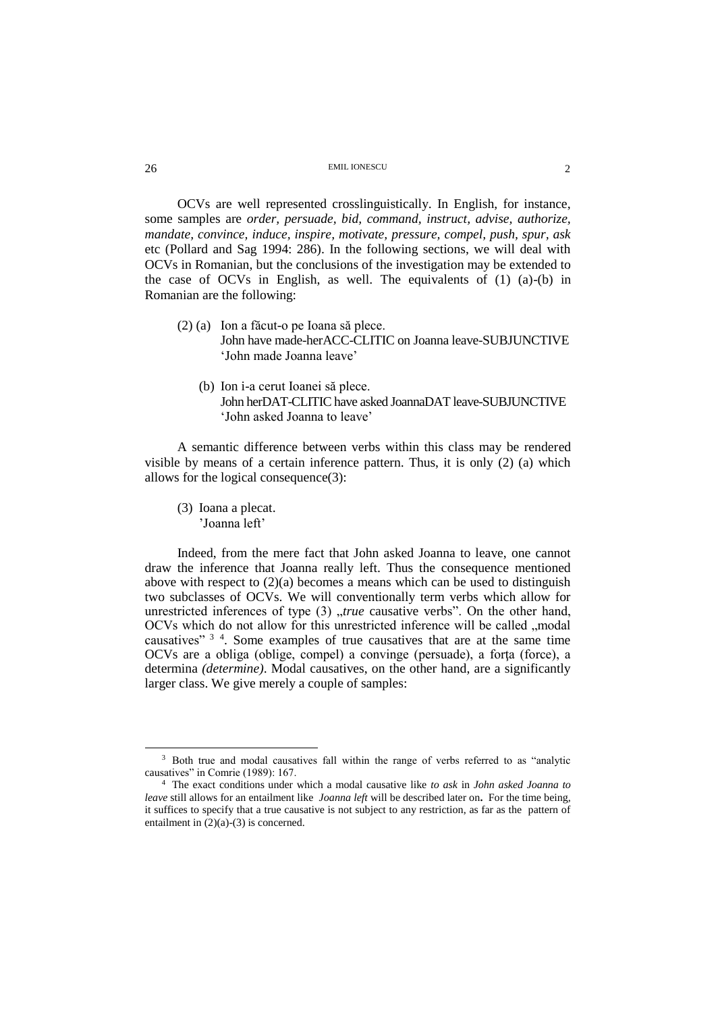OCVs are well represented crosslinguistically. In English, for instance, some samples are *order, persuade, bid, command, instruct, advise, authorize, mandate, convince, induce, inspire, motivate, pressure, compel, push, spur, ask* etc (Pollard and Sag 1994: 286). In the following sections, we will deal with OCVs in Romanian, but the conclusions of the investigation may be extended to the case of OCVs in English, as well. The equivalents of (1) (a)-(b) in Romanian are the following:

- (2) (a) Ion a făcut-o pe Ioana să plece. John have made-herACC-CLITIC on Joanna leave-SUBJUNCTIVE 'John made Joanna leave'
	- (b) Ion i-a cerut Ioanei să plece. John herDAT-CLITIC have asked JoannaDAT leave-SUBJUNCTIVE 'John asked Joanna to leave'

A semantic difference between verbs within this class may be rendered visible by means of a certain inference pattern. Thus, it is only (2) (a) which allows for the logical consequence(3):

(3) Ioana a plecat. 'Joanna left'

Indeed, from the mere fact that John asked Joanna to leave, one cannot draw the inference that Joanna really left. Thus the consequence mentioned above with respect to  $(2)(a)$  becomes a means which can be used to distinguish two subclasses of OCVs. We will conventionally term verbs which allow for unrestricted inferences of type (3) "*true* causative verbs". On the other hand, OCVs which do not allow for this unrestricted inference will be called "modal causatives"<sup>34</sup>. Some examples of true causatives that are at the same time OCVs are a obliga (oblige, compel) a convinge (persuade), a forta (force), a determina *(determine)*. Modal causatives, on the other hand, are a significantly larger class. We give merely a couple of samples:

 $\overline{a}$ 

<sup>&</sup>lt;sup>3</sup> Both true and modal causatives fall within the range of verbs referred to as "analytic causatives" in Comrie (1989): 167.

<sup>4</sup> The exact conditions under which a modal causative like *to ask* in *John asked Joanna to leave* still allows for an entailment like *Joanna left* will be described later on**.** For the time being, it suffices to specify that a true causative is not subject to any restriction, as far as the pattern of entailment in (2)(a)-(3) is concerned.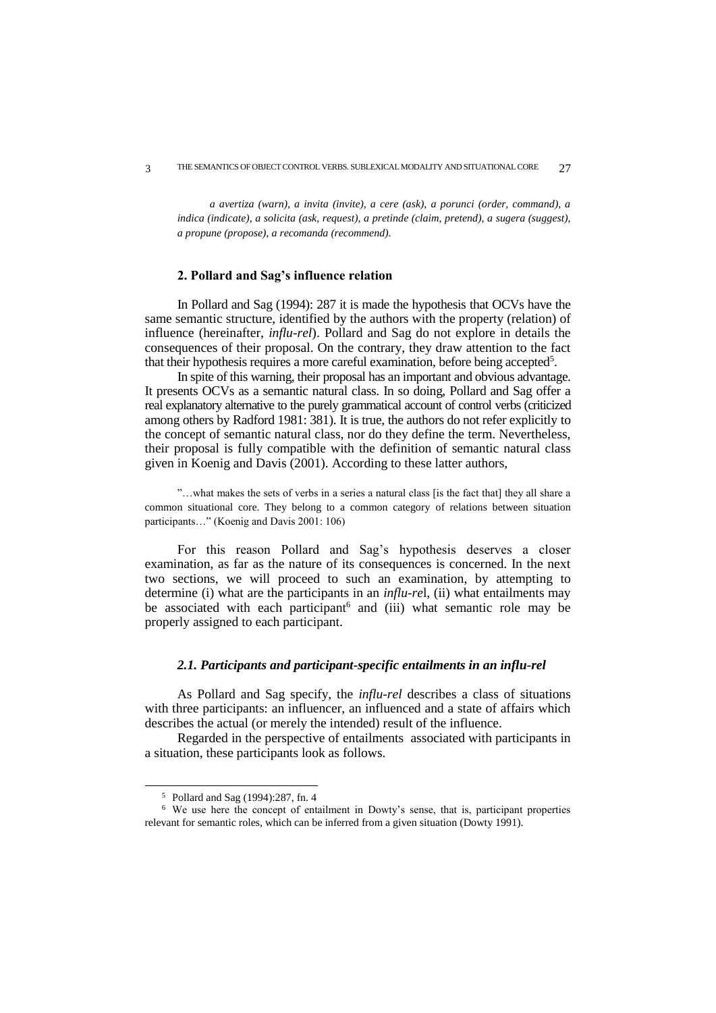*a avertiza (warn), a invita (invite), a cere (ask), a porunci (order, command), a indica (indicate), a solicita (ask, request), a pretinde (claim, pretend), a sugera (suggest), a propune (propose), a recomanda (recommend).* 

#### **2. Pollard and Sag's influence relation**

In Pollard and Sag (1994): 287 it is made the hypothesis that OCVs have the same semantic structure, identified by the authors with the property (relation) of influence (hereinafter, *influ-rel*). Pollard and Sag do not explore in details the consequences of their proposal. On the contrary, they draw attention to the fact that their hypothesis requires a more careful examination, before being accepted<sup>5</sup>.

In spite of this warning, their proposal has an important and obvious advantage. It presents OCVs as a semantic natural class. In so doing, Pollard and Sag offer a real explanatory alternative to the purely grammatical account of control verbs (criticized among others by Radford 1981: 381). It is true, the authors do not refer explicitly to the concept of semantic natural class, nor do they define the term. Nevertheless, their proposal is fully compatible with the definition of semantic natural class given in Koenig and Davis (2001). According to these latter authors,

"…what makes the sets of verbs in a series a natural class [is the fact that] they all share a common situational core. They belong to a common category of relations between situation participants…" (Koenig and Davis 2001: 106)

For this reason Pollard and Sag's hypothesis deserves a closer examination, as far as the nature of its consequences is concerned. In the next two sections, we will proceed to such an examination, by attempting to determine (i) what are the participants in an *influ-re*l, (ii) what entailments may be associated with each participant<sup>6</sup> and (iii) what semantic role may be properly assigned to each participant.

## *2.1. Participants and participant-specific entailments in an influ-rel*

As Pollard and Sag specify, the *influ-rel* describes a class of situations with three participants: an influencer, an influenced and a state of affairs which describes the actual (or merely the intended) result of the influence.

Regarded in the perspective of entailments associated with participants in a situation, these participants look as follows.

 $\overline{a}$ 

<sup>5</sup> Pollard and Sag (1994):287, fn. 4

<sup>6</sup> We use here the concept of entailment in Dowty's sense, that is, participant properties relevant for semantic roles, which can be inferred from a given situation (Dowty 1991).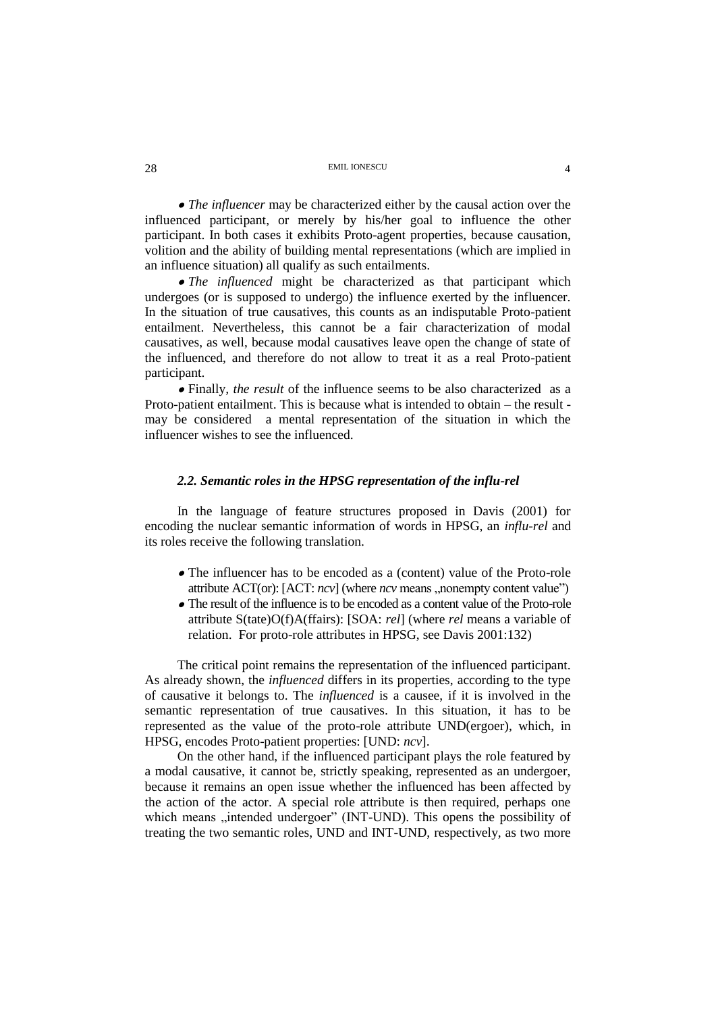*The influencer* may be characterized either by the causal action over the influenced participant, or merely by his/her goal to influence the other participant. In both cases it exhibits Proto-agent properties, because causation, volition and the ability of building mental representations (which are implied in an influence situation) all qualify as such entailments.

 *The influenced* might be characterized as that participant which undergoes (or is supposed to undergo) the influence exerted by the influencer. In the situation of true causatives, this counts as an indisputable Proto-patient entailment. Nevertheless, this cannot be a fair characterization of modal causatives, as well, because modal causatives leave open the change of state of the influenced, and therefore do not allow to treat it as a real Proto-patient participant.

 Finally*, the result* of the influence seems to be also characterized as a Proto-patient entailment. This is because what is intended to obtain – the result may be considered a mental representation of the situation in which the influencer wishes to see the influenced.

# *2.2. Semantic roles in the HPSG representation of the influ-rel*

In the language of feature structures proposed in Davis (2001) for encoding the nuclear semantic information of words in HPSG, an *influ-rel* and its roles receive the following translation.

- The influencer has to be encoded as a (content) value of the Proto-role attribute ACT(or): [ACT: *ncv*] (where *ncv* means ,,nonempty content value")
- The result of the influence is to be encoded as a content value of the Proto-role attribute S(tate)O(f)A(ffairs): [SOA: *rel*] (where *rel* means a variable of relation. For proto-role attributes in HPSG, see Davis 2001:132)

The critical point remains the representation of the influenced participant. As already shown, the *influenced* differs in its properties, according to the type of causative it belongs to. The *influenced* is a causee, if it is involved in the semantic representation of true causatives. In this situation, it has to be represented as the value of the proto-role attribute UND(ergoer), which, in HPSG, encodes Proto-patient properties: [UND: *ncv*].

On the other hand, if the influenced participant plays the role featured by a modal causative, it cannot be, strictly speaking, represented as an undergoer, because it remains an open issue whether the influenced has been affected by the action of the actor. A special role attribute is then required, perhaps one which means "intended undergoer" (INT-UND). This opens the possibility of treating the two semantic roles, UND and INT-UND, respectively, as two more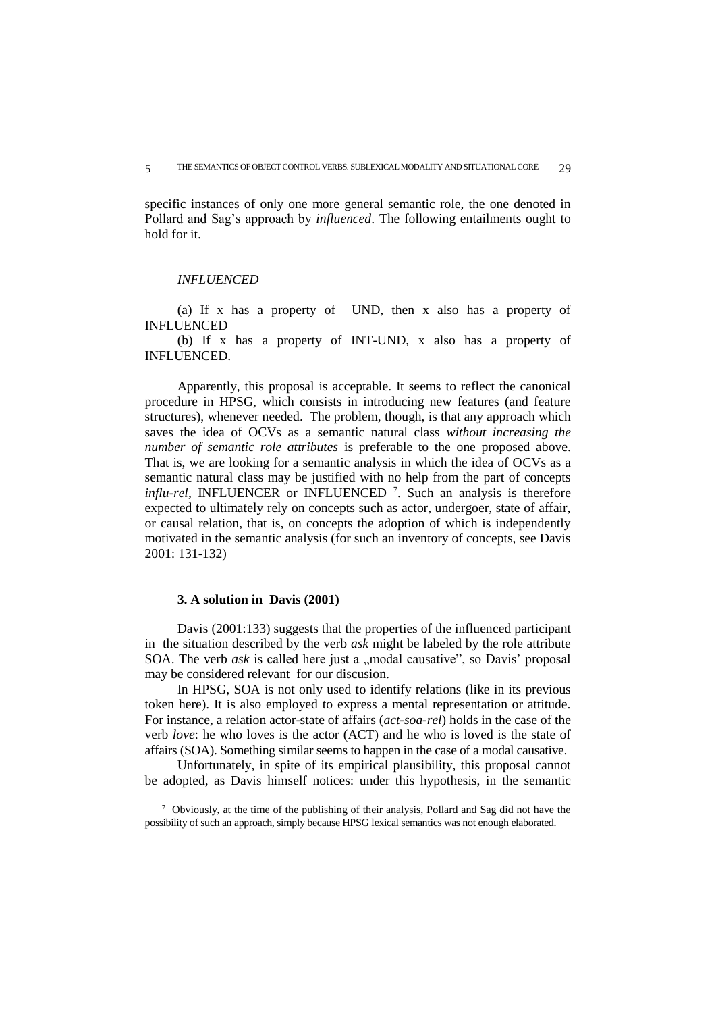specific instances of only one more general semantic role, the one denoted in Pollard and Sag's approach by *influenced*. The following entailments ought to hold for it.

#### *INFLUENCED*

(a) If x has a property of UND, then x also has a property of INFLUENCED

(b) If x has a property of INT-UND, x also has a property of INFLUENCED.

Apparently, this proposal is acceptable. It seems to reflect the canonical procedure in HPSG, which consists in introducing new features (and feature structures), whenever needed. The problem, though, is that any approach which saves the idea of OCVs as a semantic natural class *without increasing the number of semantic role attributes* is preferable to the one proposed above. That is, we are looking for a semantic analysis in which the idea of OCVs as a semantic natural class may be justified with no help from the part of concepts *influ-rel*, INFLUENCER or INFLUENCED<sup>7</sup>. Such an analysis is therefore expected to ultimately rely on concepts such as actor, undergoer, state of affair, or causal relation, that is, on concepts the adoption of which is independently motivated in the semantic analysis (for such an inventory of concepts, see Davis 2001: 131-132)

#### **3. A solution in Davis (2001)**

 $\overline{a}$ 

Davis (2001:133) suggests that the properties of the influenced participant in the situation described by the verb *ask* might be labeled by the role attribute SOA. The verb *ask* is called here just a "modal causative", so Davis' proposal may be considered relevant for our discusion.

In HPSG, SOA is not only used to identify relations (like in its previous token here). It is also employed to express a mental representation or attitude. For instance, a relation actor-state of affairs (*act-soa-rel*) holds in the case of the verb *love*: he who loves is the actor (ACT) and he who is loved is the state of affairs (SOA). Something similar seems to happen in the case of a modal causative.

Unfortunately, in spite of its empirical plausibility, this proposal cannot be adopted, as Davis himself notices: under this hypothesis, in the semantic

<sup>7</sup> Obviously, at the time of the publishing of their analysis, Pollard and Sag did not have the possibility of such an approach, simply because HPSG lexical semantics was not enough elaborated.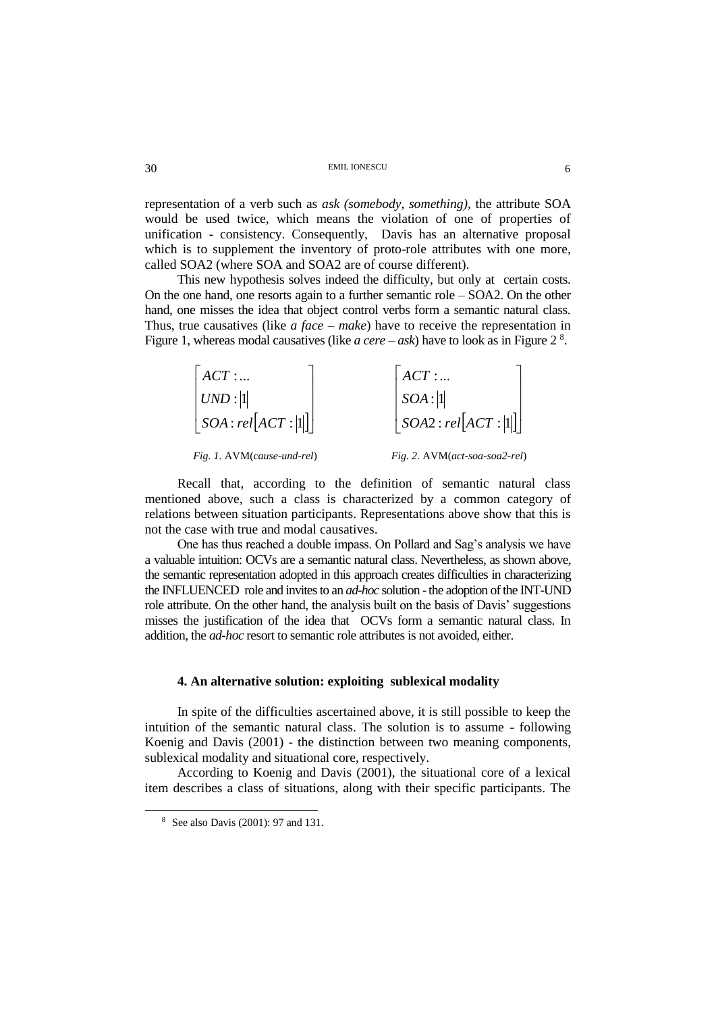representation of a verb such as *ask (somebody, something),* the attribute SOA would be used twice, which means the violation of one of properties of unification - consistency. Consequently, Davis has an alternative proposal which is to supplement the inventory of proto-role attributes with one more, called SOA2 (where SOA and SOA2 are of course different).

This new hypothesis solves indeed the difficulty, but only at certain costs. On the one hand, one resorts again to a further semantic role – SOA2. On the other hand, one misses the idea that object control verbs form a semantic natural class. Thus, true causatives (like *a face – make*) have to receive the representation in Figure 1, whereas modal causatives (like *a cere – ask*) have to look as in Figure 2 <sup>8</sup> .

| ACT:                                 | ACT:                                 |
|--------------------------------------|--------------------------------------|
| UND :  1                             | SOA: 1                               |
| $\left  SOA : rel[ACT :  1  \right]$ | $\left  SOA2 : rel[ACT : 1] \right $ |
| Fig. 1. AVM(cause-und-rel)           | Fig. 2. AVM(act-soa-soa2-rel)        |

Recall that, according to the definition of semantic natural class mentioned above, such a class is characterized by a common category of relations between situation participants. Representations above show that this is not the case with true and modal causatives.

One has thus reached a double impass. On Pollard and Sag's analysis we have a valuable intuition: OCVs are a semantic natural class. Nevertheless, as shown above, the semantic representation adopted in this approach creates difficulties in characterizing the INFLUENCED role and invites to an *ad-hoc* solution -the adoption of the INT-UND role attribute. On the other hand, the analysis built on the basis of Davis' suggestions misses the justification of the idea that OCVs form a semantic natural class. In addition, the *ad-hoc* resort to semantic role attributes is not avoided, either.

#### **4. An alternative solution: exploiting sublexical modality**

In spite of the difficulties ascertained above, it is still possible to keep the intuition of the semantic natural class. The solution is to assume - following Koenig and Davis (2001) - the distinction between two meaning components, sublexical modality and situational core, respectively.

According to Koenig and Davis (2001), the situational core of a lexical item describes a class of situations, along with their specific participants. The

 $\overline{a}$ 

<sup>8</sup> See also Davis (2001): 97 and 131.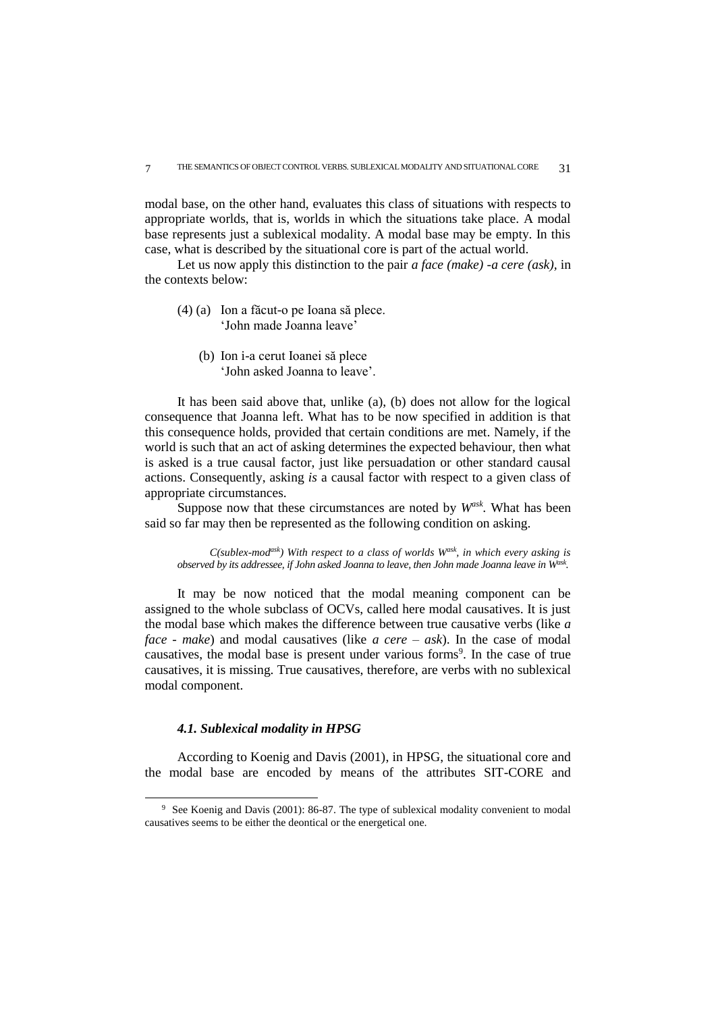modal base, on the other hand, evaluates this class of situations with respects to appropriate worlds, that is, worlds in which the situations take place. A modal base represents just a sublexical modality. A modal base may be empty. In this case, what is described by the situational core is part of the actual world.

Let us now apply this distinction to the pair *a face (make) -a cere (ask),* in the contexts below:

- (4) (a) Ion a făcut-o pe Ioana să plece. 'John made Joanna leave'
	- (b) Ion i-a cerut Ioanei să plece 'John asked Joanna to leave'.

It has been said above that, unlike (a), (b) does not allow for the logical consequence that Joanna left. What has to be now specified in addition is that this consequence holds, provided that certain conditions are met. Namely, if the world is such that an act of asking determines the expected behaviour, then what is asked is a true causal factor, just like persuadation or other standard causal actions. Consequently, asking *is* a causal factor with respect to a given class of appropriate circumstances.

Suppose now that these circumstances are noted by *Wask .* What has been said so far may then be represented as the following condition on asking.

*C(sublex-modask) With respect to a class of worlds Wask, in which every asking is observed by its addressee, if John asked Joanna to leave, then John made Joanna leave in Wask .*

It may be now noticed that the modal meaning component can be assigned to the whole subclass of OCVs, called here modal causatives. It is just the modal base which makes the difference between true causative verbs (like *a face - make*) and modal causatives (like *a cere – ask*). In the case of modal causatives, the modal base is present under various forms<sup>9</sup>. In the case of true causatives, it is missing. True causatives, therefore, are verbs with no sublexical modal component.

#### *4.1. Sublexical modality in HPSG*

 $\overline{a}$ 

According to Koenig and Davis (2001), in HPSG, the situational core and the modal base are encoded by means of the attributes SIT-CORE and

<sup>&</sup>lt;sup>9</sup> See Koenig and Davis (2001): 86-87. The type of sublexical modality convenient to modal causatives seems to be either the deontical or the energetical one.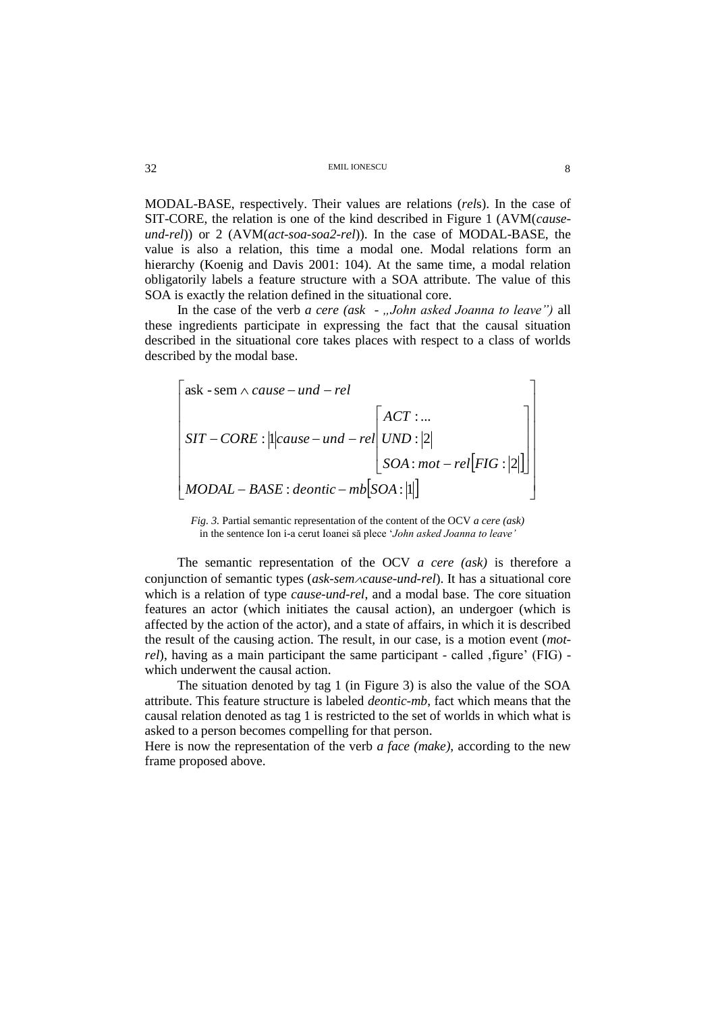MODAL-BASE, respectively. Their values are relations (rels). In the case of SIT-CORE, the relation is one of the kind described in Figure 1 (AVM(causeund-rel)) or 2 (AVM(act-soa-soa2-rel)). In the case of MODAL-BASE, the value is also a relation, this time a modal one. Modal relations form an hierarchy (Koenig and Davis 2001: 104). At the same time, a modal relation obligatorily labels a feature structure with a SOA attribute. The value of this SOA is exactly the relation defined in the situational core.

In the case of the verb a cere (ask - "John asked Joanna to leave") all these ingredients participate in expressing the fact that the causal situation described in the situational core takes places with respect to a class of worlds described by the modal base.

$$
\begin{bmatrix}\nask - sem \land cause - und - rel \\
SIT - CORE : ||cause - und - rel\n\end{bmatrix}\n\begin{bmatrix}\nACT: ... \\
UND : |2| \\
SOA : mot - rel[FIG : |2|]\n\end{bmatrix}
$$
\n
$$
MODAL - BASE : deontic - mb[SOA : |1|]
$$

Fig. 3. Partial semantic representation of the content of the OCV a cere (ask) in the sentence Ion i-a cerut Ioanei să plece 'John asked Joanna to leave'

The semantic representation of the OCV  $a$  cere (ask) is therefore a conjunction of semantic types ( $ask\text{-}sem\text{-}cause\text{-}und\text{-}rel$ ). It has a situational core which is a relation of type *cause-und-rel*, and a modal base. The core situation features an actor (which initiates the causal action), an undergoer (which is affected by the action of the actor), and a state of affairs, in which it is described the result of the causing action. The result, in our case, is a motion event (*mot*rel), having as a main participant the same participant - called , figure' (FIG) which underwent the causal action.

The situation denoted by tag 1 (in Figure 3) is also the value of the SOA attribute. This feature structure is labeled *deontic-mb*, fact which means that the causal relation denoted as tag 1 is restricted to the set of worlds in which what is asked to a person becomes compelling for that person.

Here is now the representation of the verb *a face (make)*, according to the new frame proposed above.